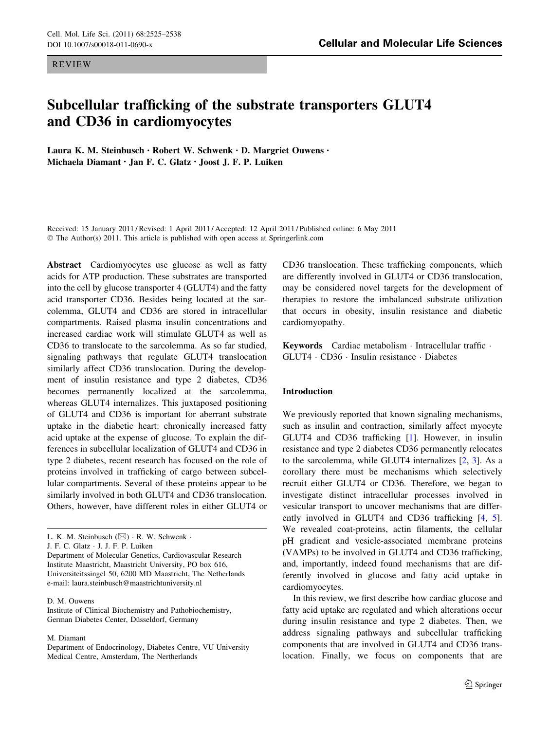REVIEW

# Subcellular trafficking of the substrate transporters GLUT4 and CD36 in cardiomyocytes

Laura K. M. Steinbusch • Robert W. Schwenk • D. Margriet Ouwens • Michaela Diamant • Jan F. C. Glatz • Joost J. F. P. Luiken

Received: 15 January 2011 / Revised: 1 April 2011 / Accepted: 12 April 2011 / Published online: 6 May 2011 © The Author(s) 2011. This article is published with open access at Springerlink.com

Abstract Cardiomyocytes use glucose as well as fatty acids for ATP production. These substrates are transported into the cell by glucose transporter 4 (GLUT4) and the fatty acid transporter CD36. Besides being located at the sarcolemma, GLUT4 and CD36 are stored in intracellular compartments. Raised plasma insulin concentrations and increased cardiac work will stimulate GLUT4 as well as CD36 to translocate to the sarcolemma. As so far studied, signaling pathways that regulate GLUT4 translocation similarly affect CD36 translocation. During the development of insulin resistance and type 2 diabetes, CD36 becomes permanently localized at the sarcolemma, whereas GLUT4 internalizes. This juxtaposed positioning of GLUT4 and CD36 is important for aberrant substrate uptake in the diabetic heart: chronically increased fatty acid uptake at the expense of glucose. To explain the differences in subcellular localization of GLUT4 and CD36 in type 2 diabetes, recent research has focused on the role of proteins involved in trafficking of cargo between subcellular compartments. Several of these proteins appear to be similarly involved in both GLUT4 and CD36 translocation. Others, however, have different roles in either GLUT4 or

J. F. C. Glatz - J. J. F. P. Luiken

D. M. Ouwens

Institute of Clinical Biochemistry and Pathobiochemistry, German Diabetes Center, Düsseldorf, Germany

M. Diamant

Department of Endocrinology, Diabetes Centre, VU University Medical Centre, Amsterdam, The Nertherlands

CD36 translocation. These trafficking components, which are differently involved in GLUT4 or CD36 translocation, may be considered novel targets for the development of therapies to restore the imbalanced substrate utilization that occurs in obesity, insulin resistance and diabetic cardiomyopathy.

Keywords Cardiac metabolism · Intracellular traffic · GLUT4 - CD36 - Insulin resistance - Diabetes

# Introduction

We previously reported that known signaling mechanisms, such as insulin and contraction, similarly affect myocyte GLUT4 and CD36 trafficking [[1\]](#page-9-0). However, in insulin resistance and type 2 diabetes CD36 permanently relocates to the sarcolemma, while GLUT4 internalizes [\[2,](#page-9-0) [3](#page-9-0)]. As a corollary there must be mechanisms which selectively recruit either GLUT4 or CD36. Therefore, we began to investigate distinct intracellular processes involved in vesicular transport to uncover mechanisms that are differently involved in GLUT4 and CD36 trafficking [[4,](#page-9-0) [5](#page-9-0)]. We revealed coat-proteins, actin filaments, the cellular pH gradient and vesicle-associated membrane proteins (VAMPs) to be involved in GLUT4 and CD36 trafficking, and, importantly, indeed found mechanisms that are differently involved in glucose and fatty acid uptake in cardiomyocytes.

In this review, we first describe how cardiac glucose and fatty acid uptake are regulated and which alterations occur during insulin resistance and type 2 diabetes. Then, we address signaling pathways and subcellular trafficking components that are involved in GLUT4 and CD36 translocation. Finally, we focus on components that are

L. K. M. Steinbusch  $(\boxtimes) \cdot R$ . W. Schwenk  $\cdot$ 

Department of Molecular Genetics, Cardiovascular Research Institute Maastricht, Maastricht University, PO box 616, Universiteitssingel 50, 6200 MD Maastricht, The Netherlands e-mail: laura.steinbusch@maastrichtuniversity.nl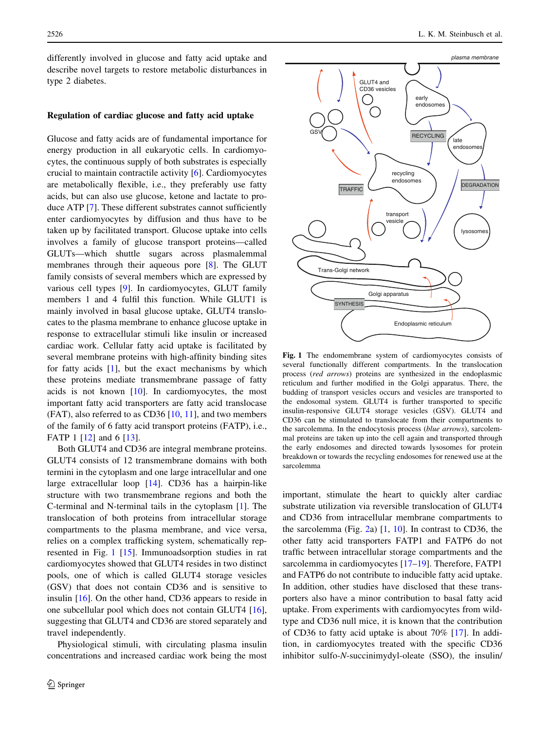<span id="page-1-0"></span>differently involved in glucose and fatty acid uptake and describe novel targets to restore metabolic disturbances in type 2 diabetes.

## Regulation of cardiac glucose and fatty acid uptake

Glucose and fatty acids are of fundamental importance for energy production in all eukaryotic cells. In cardiomyocytes, the continuous supply of both substrates is especially crucial to maintain contractile activity [\[6](#page-9-0)]. Cardiomyocytes are metabolically flexible, i.e., they preferably use fatty acids, but can also use glucose, ketone and lactate to produce ATP [[7\]](#page-9-0). These different substrates cannot sufficiently enter cardiomyocytes by diffusion and thus have to be taken up by facilitated transport. Glucose uptake into cells involves a family of glucose transport proteins—called GLUTs—which shuttle sugars across plasmalemmal membranes through their aqueous pore [[8\]](#page-9-0). The GLUT family consists of several members which are expressed by various cell types [\[9](#page-9-0)]. In cardiomyocytes, GLUT family members 1 and 4 fulfil this function. While GLUT1 is mainly involved in basal glucose uptake, GLUT4 translocates to the plasma membrane to enhance glucose uptake in response to extracellular stimuli like insulin or increased cardiac work. Cellular fatty acid uptake is facilitated by several membrane proteins with high-affinity binding sites for fatty acids [\[1](#page-9-0)], but the exact mechanisms by which these proteins mediate transmembrane passage of fatty acids is not known  $[10]$  $[10]$ . In cardiomyocytes, the most important fatty acid transporters are fatty acid translocase (FAT), also referred to as CD36 [[10,](#page-9-0) [11\]](#page-9-0), and two members of the family of 6 fatty acid transport proteins (FATP), i.e., FATP 1 [\[12](#page-10-0)] and 6 [\[13](#page-10-0)].

Both GLUT4 and CD36 are integral membrane proteins. GLUT4 consists of 12 transmembrane domains with both termini in the cytoplasm and one large intracellular and one large extracellular loop [[14\]](#page-10-0). CD36 has a hairpin-like structure with two transmembrane regions and both the C-terminal and N-terminal tails in the cytoplasm [\[1](#page-9-0)]. The translocation of both proteins from intracellular storage compartments to the plasma membrane, and vice versa, relies on a complex trafficking system, schematically represented in Fig. 1 [\[15](#page-10-0)]. Immunoadsorption studies in rat cardiomyocytes showed that GLUT4 resides in two distinct pools, one of which is called GLUT4 storage vesicles (GSV) that does not contain CD36 and is sensitive to insulin [[16\]](#page-10-0). On the other hand, CD36 appears to reside in one subcellular pool which does not contain GLUT4 [\[16](#page-10-0)], suggesting that GLUT4 and CD36 are stored separately and travel independently.

Physiological stimuli, with circulating plasma insulin concentrations and increased cardiac work being the most



Fig. 1 The endomembrane system of cardiomyocytes consists of several functionally different compartments. In the translocation process (red arrows) proteins are synthesized in the endoplasmic reticulum and further modified in the Golgi apparatus. There, the budding of transport vesicles occurs and vesicles are transported to the endosomal system. GLUT4 is further transported to specific insulin-responsive GLUT4 storage vesicles (GSV). GLUT4 and CD36 can be stimulated to translocate from their compartments to the sarcolemma. In the endocytosis process (blue arrows), sarcolemmal proteins are taken up into the cell again and transported through the early endosomes and directed towards lysosomes for protein breakdown or towards the recycling endosomes for renewed use at the sarcolemma

important, stimulate the heart to quickly alter cardiac substrate utilization via reversible translocation of GLUT4 and CD36 from intracellular membrane compartments to the sarcolemma (Fig. [2a](#page-2-0)) [\[1](#page-9-0), [10\]](#page-9-0). In contrast to CD36, the other fatty acid transporters FATP1 and FATP6 do not traffic between intracellular storage compartments and the sarcolemma in cardiomyocytes [[17–19\]](#page-10-0). Therefore, FATP1 and FATP6 do not contribute to inducible fatty acid uptake. In addition, other studies have disclosed that these transporters also have a minor contribution to basal fatty acid uptake. From experiments with cardiomyocytes from wildtype and CD36 null mice, it is known that the contribution of CD36 to fatty acid uptake is about 70% [\[17](#page-10-0)]. In addition, in cardiomyocytes treated with the specific CD36 inhibitor sulfo-N-succinimydyl-oleate (SSO), the insulin/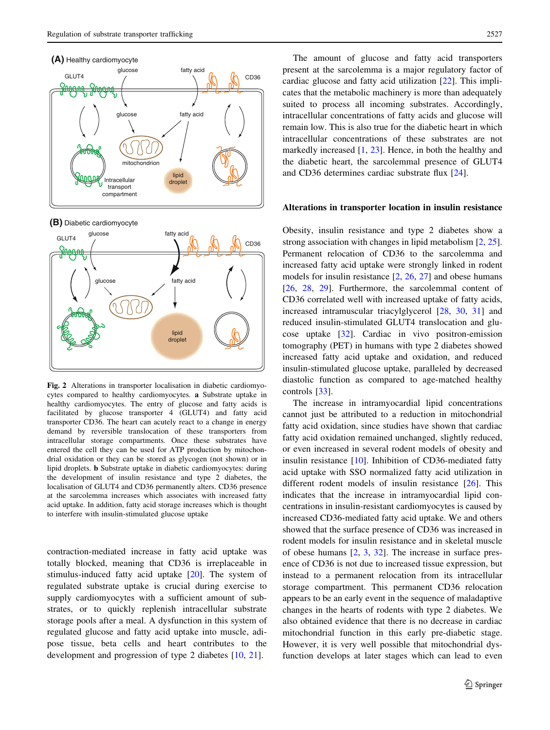## <span id="page-2-0"></span>**(A)** Healthy cardiomyocyte



**(B)** Diabetic cardiomyocyte



Fig. 2 Alterations in transporter localisation in diabetic cardiomyocytes compared to healthy cardiomyocytes. a Substrate uptake in healthy cardiomyocytes. The entry of glucose and fatty acids is facilitated by glucose transporter 4 (GLUT4) and fatty acid transporter CD36. The heart can acutely react to a change in energy demand by reversible translocation of these transporters from intracellular storage compartments. Once these substrates have entered the cell they can be used for ATP production by mitochondrial oxidation or they can be stored as glycogen (not shown) or in lipid droplets. b Substrate uptake in diabetic cardiomyocytes: during the development of insulin resistance and type 2 diabetes, the localisation of GLUT4 and CD36 permanently alters. CD36 presence at the sarcolemma increases which associates with increased fatty acid uptake. In addition, fatty acid storage increases which is thought to interfere with insulin-stimulated glucose uptake

contraction-mediated increase in fatty acid uptake was totally blocked, meaning that CD36 is irreplaceable in stimulus-induced fatty acid uptake [[20\]](#page-10-0). The system of regulated substrate uptake is crucial during exercise to supply cardiomyocytes with a sufficient amount of substrates, or to quickly replenish intracellular substrate storage pools after a meal. A dysfunction in this system of regulated glucose and fatty acid uptake into muscle, adipose tissue, beta cells and heart contributes to the development and progression of type 2 diabetes [[10,](#page-9-0) [21\]](#page-10-0).

The amount of glucose and fatty acid transporters present at the sarcolemma is a major regulatory factor of cardiac glucose and fatty acid utilization [\[22](#page-10-0)]. This implicates that the metabolic machinery is more than adequately suited to process all incoming substrates. Accordingly, intracellular concentrations of fatty acids and glucose will remain low. This is also true for the diabetic heart in which intracellular concentrations of these substrates are not markedly increased  $[1, 23]$  $[1, 23]$  $[1, 23]$  $[1, 23]$  $[1, 23]$ . Hence, in both the healthy and the diabetic heart, the sarcolemmal presence of GLUT4 and CD36 determines cardiac substrate flux [[24\]](#page-10-0).

## Alterations in transporter location in insulin resistance

Obesity, insulin resistance and type 2 diabetes show a strong association with changes in lipid metabolism [[2,](#page-9-0) [25](#page-10-0)]. Permanent relocation of CD36 to the sarcolemma and increased fatty acid uptake were strongly linked in rodent models for insulin resistance [\[2](#page-9-0), [26,](#page-10-0) [27\]](#page-10-0) and obese humans [\[26](#page-10-0), [28,](#page-10-0) [29\]](#page-10-0). Furthermore, the sarcolemmal content of CD36 correlated well with increased uptake of fatty acids, increased intramuscular triacylglycerol [\[28](#page-10-0), [30,](#page-10-0) [31](#page-10-0)] and reduced insulin-stimulated GLUT4 translocation and glucose uptake [\[32](#page-10-0)]. Cardiac in vivo positron-emission tomography (PET) in humans with type 2 diabetes showed increased fatty acid uptake and oxidation, and reduced insulin-stimulated glucose uptake, paralleled by decreased diastolic function as compared to age-matched healthy controls [[33](#page-10-0)].

The increase in intramyocardial lipid concentrations cannot just be attributed to a reduction in mitochondrial fatty acid oxidation, since studies have shown that cardiac fatty acid oxidation remained unchanged, slightly reduced, or even increased in several rodent models of obesity and insulin resistance [[10\]](#page-9-0). Inhibition of CD36-mediated fatty acid uptake with SSO normalized fatty acid utilization in different rodent models of insulin resistance [\[26](#page-10-0)]. This indicates that the increase in intramyocardial lipid concentrations in insulin-resistant cardiomyocytes is caused by increased CD36-mediated fatty acid uptake. We and others showed that the surface presence of CD36 was increased in rodent models for insulin resistance and in skeletal muscle of obese humans [[2,](#page-9-0) [3,](#page-9-0) [32\]](#page-10-0). The increase in surface presence of CD36 is not due to increased tissue expression, but instead to a permanent relocation from its intracellular storage compartment. This permanent CD36 relocation appears to be an early event in the sequence of maladaptive changes in the hearts of rodents with type 2 diabetes. We also obtained evidence that there is no decrease in cardiac mitochondrial function in this early pre-diabetic stage. However, it is very well possible that mitochondrial dysfunction develops at later stages which can lead to even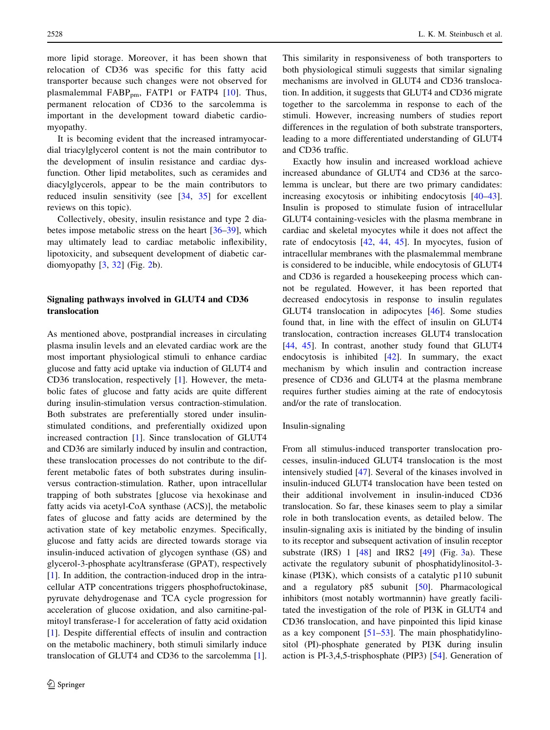<span id="page-3-0"></span>more lipid storage. Moreover, it has been shown that relocation of CD36 was specific for this fatty acid transporter because such changes were not observed for plasmalemmal  $FABP_{pm}$ ,  $FATP1$  or  $FATP4$  [[10](#page-9-0)]. Thus, permanent relocation of CD36 to the sarcolemma is important in the development toward diabetic cardiomyopathy.

It is becoming evident that the increased intramyocardial triacylglycerol content is not the main contributor to the development of insulin resistance and cardiac dysfunction. Other lipid metabolites, such as ceramides and diacylglycerols, appear to be the main contributors to reduced insulin sensitivity (see [\[34](#page-10-0), [35](#page-10-0)] for excellent reviews on this topic).

Collectively, obesity, insulin resistance and type 2 diabetes impose metabolic stress on the heart [[36–39\]](#page-10-0), which may ultimately lead to cardiac metabolic inflexibility, lipotoxicity, and subsequent development of diabetic cardiomyopathy  $[3, 32]$  $[3, 32]$  $[3, 32]$  $[3, 32]$  (Fig. [2](#page-2-0)b).

# Signaling pathways involved in GLUT4 and CD36 translocation

As mentioned above, postprandial increases in circulating plasma insulin levels and an elevated cardiac work are the most important physiological stimuli to enhance cardiac glucose and fatty acid uptake via induction of GLUT4 and CD36 translocation, respectively [\[1](#page-9-0)]. However, the metabolic fates of glucose and fatty acids are quite different during insulin-stimulation versus contraction-stimulation. Both substrates are preferentially stored under insulinstimulated conditions, and preferentially oxidized upon increased contraction [\[1](#page-9-0)]. Since translocation of GLUT4 and CD36 are similarly induced by insulin and contraction, these translocation processes do not contribute to the different metabolic fates of both substrates during insulinversus contraction-stimulation. Rather, upon intracellular trapping of both substrates [glucose via hexokinase and fatty acids via acetyl-CoA synthase (ACS)], the metabolic fates of glucose and fatty acids are determined by the activation state of key metabolic enzymes. Specifically, glucose and fatty acids are directed towards storage via insulin-induced activation of glycogen synthase (GS) and glycerol-3-phosphate acyltransferase (GPAT), respectively [\[1](#page-9-0)]. In addition, the contraction-induced drop in the intracellular ATP concentrations triggers phosphofructokinase, pyruvate dehydrogenase and TCA cycle progression for acceleration of glucose oxidation, and also carnitine-palmitoyl transferase-1 for acceleration of fatty acid oxidation [\[1](#page-9-0)]. Despite differential effects of insulin and contraction on the metabolic machinery, both stimuli similarly induce translocation of GLUT4 and CD36 to the sarcolemma [\[1](#page-9-0)].

This similarity in responsiveness of both transporters to both physiological stimuli suggests that similar signaling mechanisms are involved in GLUT4 and CD36 translocation. In addition, it suggests that GLUT4 and CD36 migrate together to the sarcolemma in response to each of the stimuli. However, increasing numbers of studies report differences in the regulation of both substrate transporters, leading to a more differentiated understanding of GLUT4 and CD36 traffic.

Exactly how insulin and increased workload achieve increased abundance of GLUT4 and CD36 at the sarcolemma is unclear, but there are two primary candidates: increasing exocytosis or inhibiting endocytosis [\[40–43](#page-10-0)]. Insulin is proposed to stimulate fusion of intracellular GLUT4 containing-vesicles with the plasma membrane in cardiac and skeletal myocytes while it does not affect the rate of endocytosis [[42,](#page-10-0) [44,](#page-10-0) [45\]](#page-10-0). In myocytes, fusion of intracellular membranes with the plasmalemmal membrane is considered to be inducible, while endocytosis of GLUT4 and CD36 is regarded a housekeeping process which cannot be regulated. However, it has been reported that decreased endocytosis in response to insulin regulates GLUT4 translocation in adipocytes [\[46](#page-11-0)]. Some studies found that, in line with the effect of insulin on GLUT4 translocation, contraction increases GLUT4 translocation [\[44](#page-10-0), [45](#page-10-0)]. In contrast, another study found that GLUT4 endocytosis is inhibited  $[42]$  $[42]$ . In summary, the exact mechanism by which insulin and contraction increase presence of CD36 and GLUT4 at the plasma membrane requires further studies aiming at the rate of endocytosis and/or the rate of translocation.

## Insulin-signaling

From all stimulus-induced transporter translocation processes, insulin-induced GLUT4 translocation is the most intensively studied [\[47](#page-11-0)]. Several of the kinases involved in insulin-induced GLUT4 translocation have been tested on their additional involvement in insulin-induced CD36 translocation. So far, these kinases seem to play a similar role in both translocation events, as detailed below. The insulin-signaling axis is initiated by the binding of insulin to its receptor and subsequent activation of insulin receptor substrate  $(IRS)$  1  $[48]$  $[48]$  and  $IRS2$   $[49]$  $[49]$   $(Fig. 3a)$  $(Fig. 3a)$  $(Fig. 3a)$ . These activate the regulatory subunit of phosphatidylinositol-3 kinase (PI3K), which consists of a catalytic p110 subunit and a regulatory p85 subunit [\[50](#page-11-0)]. Pharmacological inhibitors (most notably wortmannin) have greatly facilitated the investigation of the role of PI3K in GLUT4 and CD36 translocation, and have pinpointed this lipid kinase as a key component  $[51–53]$  $[51–53]$ . The main phosphatidylinositol (PI)-phosphate generated by PI3K during insulin action is PI-3,4,5-trisphosphate (PIP3) [[54\]](#page-11-0). Generation of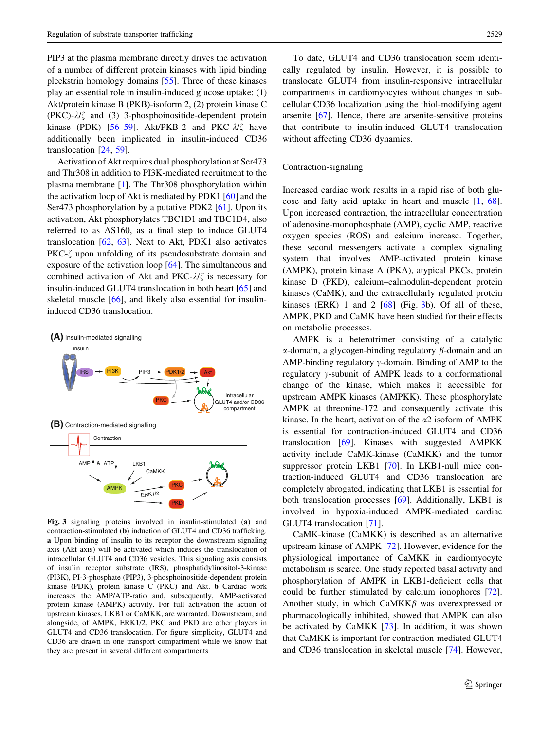<span id="page-4-0"></span>PIP3 at the plasma membrane directly drives the activation of a number of different protein kinases with lipid binding pleckstrin homology domains [\[55](#page-11-0)]. Three of these kinases play an essential role in insulin-induced glucose uptake: (1) Akt/protein kinase B (PKB)-isoform 2, (2) protein kinase C  $(PKC)$ - $\lambda$ / $\zeta$  and (3) 3-phosphoinositide-dependent protein kinase (PDK) [\[56–59](#page-11-0)]. Akt/PKB-2 and PKC- $\lambda/\zeta$  have additionally been implicated in insulin-induced CD36 translocation [\[24](#page-10-0), [59](#page-11-0)].

Activation of Akt requires dual phosphorylation at Ser473 and Thr308 in addition to PI3K-mediated recruitment to the plasma membrane [[1\]](#page-9-0). The Thr308 phosphorylation within the activation loop of Akt is mediated by PDK1 [[60\]](#page-11-0) and the Ser473 phosphorylation by a putative PDK2 [\[61](#page-11-0)]. Upon its activation, Akt phosphorylates TBC1D1 and TBC1D4, also referred to as AS160, as a final step to induce GLUT4 translocation [\[62](#page-11-0), [63](#page-11-0)]. Next to Akt, PDK1 also activates PKC- $\zeta$  upon unfolding of its pseudosubstrate domain and exposure of the activation loop [\[64](#page-11-0)]. The simultaneous and combined activation of Akt and PKC- $\lambda$ / $\zeta$  is necessary for insulin-induced GLUT4 translocation in both heart [\[65](#page-11-0)] and skeletal muscle [[66\]](#page-11-0), and likely also essential for insulininduced CD36 translocation.



Fig. 3 signaling proteins involved in insulin-stimulated (a) and contraction-stimulated (b) induction of GLUT4 and CD36 trafficking. a Upon binding of insulin to its receptor the downstream signaling axis (Akt axis) will be activated which induces the translocation of intracellular GLUT4 and CD36 vesicles. This signaling axis consists of insulin receptor substrate (IRS), phosphatidylinositol-3-kinase (PI3K), PI-3-phosphate (PIP3), 3-phosphoinositide-dependent protein kinase (PDK), protein kinase C (PKC) and Akt. b Cardiac work increases the AMP/ATP-ratio and, subsequently, AMP-activated protein kinase (AMPK) activity. For full activation the action of upstream kinases, LKB1 or CaMKK, are warranted. Downstream, and alongside, of AMPK, ERK1/2, PKC and PKD are other players in GLUT4 and CD36 translocation. For figure simplicity, GLUT4 and CD36 are drawn in one transport compartment while we know that they are present in several different compartments

To date, GLUT4 and CD36 translocation seem identically regulated by insulin. However, it is possible to translocate GLUT4 from insulin-responsive intracellular compartments in cardiomyocytes without changes in subcellular CD36 localization using the thiol-modifying agent arsenite [[67\]](#page-11-0). Hence, there are arsenite-sensitive proteins that contribute to insulin-induced GLUT4 translocation without affecting CD36 dynamics.

## Contraction-signaling

Increased cardiac work results in a rapid rise of both glucose and fatty acid uptake in heart and muscle [\[1](#page-9-0), [68](#page-11-0)]. Upon increased contraction, the intracellular concentration of adenosine-monophosphate (AMP), cyclic AMP, reactive oxygen species (ROS) and calcium increase. Together, these second messengers activate a complex signaling system that involves AMP-activated protein kinase (AMPK), protein kinase A (PKA), atypical PKCs, protein kinase D (PKD), calcium–calmodulin-dependent protein kinases (CaMK), and the extracellularly regulated protein kinases (ERK) 1 and 2  $[68]$  $[68]$  (Fig. 3b). Of all of these, AMPK, PKD and CaMK have been studied for their effects on metabolic processes.

AMPK is a heterotrimer consisting of a catalytic  $\alpha$ -domain, a glycogen-binding regulatory  $\beta$ -domain and an AMP-binding regulatory  $\gamma$ -domain. Binding of AMP to the regulatory  $\gamma$ -subunit of AMPK leads to a conformational change of the kinase, which makes it accessible for upstream AMPK kinases (AMPKK). These phosphorylate AMPK at threonine-172 and consequently activate this kinase. In the heart, activation of the  $\alpha$ 2 isoform of AMPK is essential for contraction-induced GLUT4 and CD36 translocation [[69\]](#page-11-0). Kinases with suggested AMPKK activity include CaMK-kinase (CaMKK) and the tumor suppressor protein LKB1 [[70\]](#page-11-0). In LKB1-null mice contraction-induced GLUT4 and CD36 translocation are completely abrogated, indicating that LKB1 is essential for both translocation processes [[69\]](#page-11-0). Additionally, LKB1 is involved in hypoxia-induced AMPK-mediated cardiac GLUT4 translocation [[71](#page-11-0)].

CaMK-kinase (CaMKK) is described as an alternative upstream kinase of AMPK [\[72](#page-11-0)]. However, evidence for the physiological importance of CaMKK in cardiomyocyte metabolism is scarce. One study reported basal activity and phosphorylation of AMPK in LKB1-deficient cells that could be further stimulated by calcium ionophores [\[72](#page-11-0)]. Another study, in which  $CaMKK\beta$  was overexpressed or pharmacologically inhibited, showed that AMPK can also be activated by CaMKK [\[73](#page-11-0)]. In addition, it was shown that CaMKK is important for contraction-mediated GLUT4 and CD36 translocation in skeletal muscle [\[74](#page-11-0)]. However,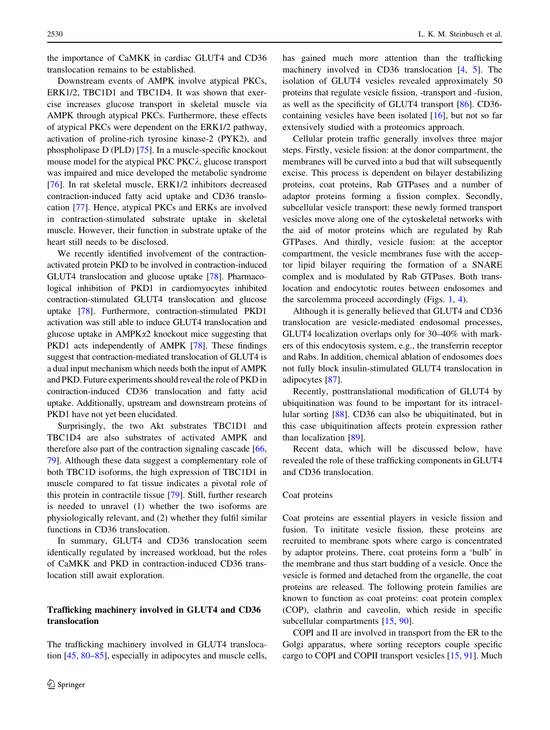the importance of CaMKK in cardiac GLUT4 and CD36 translocation remains to be established.

Downstream events of AMPK involve atypical PKCs, ERK1/2, TBC1D1 and TBC1D4. It was shown that exercise increases glucose transport in skeletal muscle via AMPK through atypical PKCs. Furthermore, these effects of atypical PKCs were dependent on the ERK1/2 pathway, activation of proline-rich tyrosine kinase-2 (PYK2), and phospholipase D (PLD) [\[75](#page-11-0)]. In a muscle-specific knockout mouse model for the atypical PKC PKC $\lambda$ , glucose transport was impaired and mice developed the metabolic syndrome [\[76](#page-11-0)]. In rat skeletal muscle, ERK1/2 inhibitors decreased contraction-induced fatty acid uptake and CD36 translocation [\[77](#page-12-0)]. Hence, atypical PKCs and ERKs are involved in contraction-stimulated substrate uptake in skeletal muscle. However, their function in substrate uptake of the heart still needs to be disclosed.

We recently identified involvement of the contractionactivated protein PKD to be involved in contraction-induced GLUT4 translocation and glucose uptake [\[78\]](#page-12-0). Pharmacological inhibition of PKD1 in cardiomyocytes inhibited contraction-stimulated GLUT4 translocation and glucose uptake [[78\]](#page-12-0). Furthermore, contraction-stimulated PKD1 activation was still able to induce GLUT4 translocation and glucose uptake in AMPKa2 knockout mice suggesting that PKD1 acts independently of AMPK [\[78](#page-12-0)]. These findings suggest that contraction-mediated translocation of GLUT4 is a dual input mechanism which needs both the input of AMPK and PKD. Future experiments should reveal the role of PKD in contraction-induced CD36 translocation and fatty acid uptake. Additionally, upstream and downstream proteins of PKD1 have not yet been elucidated.

Surprisingly, the two Akt substrates TBC1D1 and TBC1D4 are also substrates of activated AMPK and therefore also part of the contraction signaling cascade [[66,](#page-11-0) [79](#page-12-0)]. Although these data suggest a complementary role of both TBC1D isoforms, the high expression of TBC1D1 in muscle compared to fat tissue indicates a pivotal role of this protein in contractile tissue [[79\]](#page-12-0). Still, further research is needed to unravel (1) whether the two isoforms are physiologically relevant, and (2) whether they fulfil similar functions in CD36 translocation.

In summary, GLUT4 and CD36 translocation seem identically regulated by increased workload, but the roles of CaMKK and PKD in contraction-induced CD36 translocation still await exploration.

# Trafficking machinery involved in GLUT4 and CD36 translocation

The trafficking machinery involved in GLUT4 translocation [[45,](#page-10-0) [80–85\]](#page-12-0), especially in adipocytes and muscle cells, has gained much more attention than the trafficking machinery involved in CD36 translocation [[4,](#page-9-0) [5](#page-9-0)]. The isolation of GLUT4 vesicles revealed approximately 50 proteins that regulate vesicle fission, -transport and -fusion, as well as the specificity of GLUT4 transport [\[86](#page-12-0)]. CD36 containing vesicles have been isolated [\[16](#page-10-0)], but not so far extensively studied with a proteomics approach.

Cellular protein traffic generally involves three major steps. Firstly, vesicle fission: at the donor compartment, the membranes will be curved into a bud that will subsequently excise. This process is dependent on bilayer destabilizing proteins, coat proteins, Rab GTPases and a number of adaptor proteins forming a fission complex. Secondly, subcellular vesicle transport: these newly formed transport vesicles move along one of the cytoskeletal networks with the aid of motor proteins which are regulated by Rab GTPases. And thirdly, vesicle fusion: at the acceptor compartment, the vesicle membranes fuse with the acceptor lipid bilayer requiring the formation of a SNARE complex and is modulated by Rab GTPases. Both translocation and endocytotic routes between endosomes and the sarcolemma proceed accordingly (Figs. [1](#page-1-0), [4](#page-6-0)).

Although it is generally believed that GLUT4 and CD36 translocation are vesicle-mediated endosomal processes, GLUT4 localization overlaps only for 30–40% with markers of this endocytosis system, e.g., the transferrin receptor and Rabs. In addition, chemical ablation of endosomes does not fully block insulin-stimulated GLUT4 translocation in adipocytes [\[87](#page-12-0)].

Recently, posttranslational modification of GLUT4 by ubiquitination was found to be important for its intracellular sorting [\[88](#page-12-0)]. CD36 can also be ubiquitinated, but in this case ubiquitination affects protein expression rather than localization [\[89](#page-12-0)].

Recent data, which will be discussed below, have revealed the role of these trafficking components in GLUT4 and CD36 translocation.

### Coat proteins

Coat proteins are essential players in vesicle fission and fusion. To inititate vesicle fission, these proteins are recruited to membrane spots where cargo is concentrated by adaptor proteins. There, coat proteins form a 'bulb' in the membrane and thus start budding of a vesicle. Once the vesicle is formed and detached from the organelle, the coat proteins are released. The following protein families are known to function as coat proteins: coat protein complex (COP), clathrin and caveolin, which reside in specific subcellular compartments [[15,](#page-10-0) [90\]](#page-12-0).

COPI and II are involved in transport from the ER to the Golgi apparatus, where sorting receptors couple specific cargo to COPI and COPII transport vesicles [[15,](#page-10-0) [91\]](#page-12-0). Much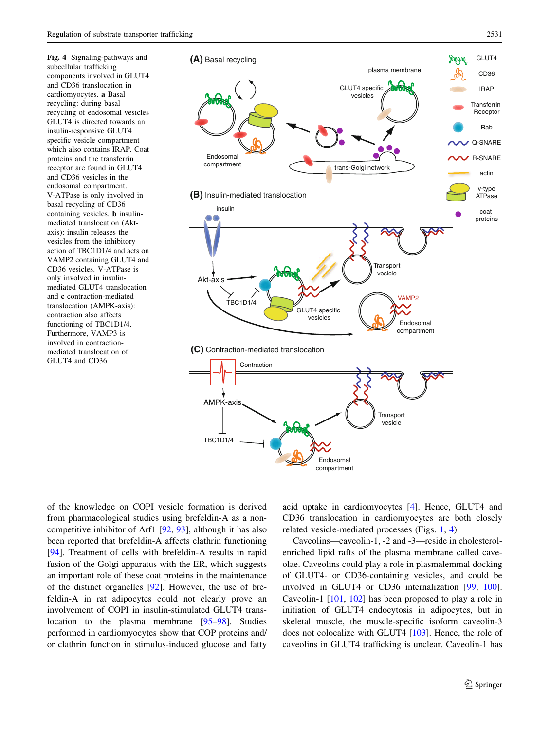<span id="page-6-0"></span>Fig. 4 Signaling-pathways and subcellular trafficking components involved in GLUT4 and CD36 translocation in cardiomyocytes. a Basal recycling: during basal recycling of endosomal vesicles GLUT4 is directed towards an insulin-responsive GLUT4 specific vesicle compartment which also contains IRAP. Coat proteins and the transferrin receptor are found in GLUT4 and CD36 vesicles in the endosomal compartment. V-ATPase is only involved in basal recycling of CD36 containing vesicles. b insulinmediated translocation (Aktaxis): insulin releases the vesicles from the inhibitory action of TBC1D1/4 and acts on VAMP2 containing GLUT4 and CD36 vesicles. V-ATPase is only involved in insulinmediated GLUT4 translocation and c contraction-mediated translocation (AMPK-axis): contraction also affects functioning of TBC1D1/4. Furthermore, VAMP3 is involved in contractionmediated translocation of GLUT4 and CD36



of the knowledge on COPI vesicle formation is derived from pharmacological studies using brefeldin-A as a noncompetitive inhibitor of Arf1 [[92,](#page-12-0) [93](#page-12-0)], although it has also been reported that brefeldin-A affects clathrin functioning [\[94](#page-12-0)]. Treatment of cells with brefeldin-A results in rapid fusion of the Golgi apparatus with the ER, which suggests an important role of these coat proteins in the maintenance of the distinct organelles [[92\]](#page-12-0). However, the use of brefeldin-A in rat adipocytes could not clearly prove an involvement of COPI in insulin-stimulated GLUT4 translocation to the plasma membrane [\[95–98](#page-12-0)]. Studies performed in cardiomyocytes show that COP proteins and/ or clathrin function in stimulus-induced glucose and fatty

acid uptake in cardiomyocytes [\[4](#page-9-0)]. Hence, GLUT4 and CD36 translocation in cardiomyocytes are both closely related vesicle-mediated processes (Figs. [1,](#page-1-0) 4).

Caveolins—caveolin-1, -2 and -3—reside in cholesterolenriched lipid rafts of the plasma membrane called caveolae. Caveolins could play a role in plasmalemmal docking of GLUT4- or CD36-containing vesicles, and could be involved in GLUT4 or CD36 internalization [[99,](#page-12-0) [100](#page-12-0)]. Caveolin-1 [\[101](#page-12-0), [102\]](#page-12-0) has been proposed to play a role in initiation of GLUT4 endocytosis in adipocytes, but in skeletal muscle, the muscle-specific isoform caveolin-3 does not colocalize with GLUT4 [[103\]](#page-12-0). Hence, the role of caveolins in GLUT4 trafficking is unclear. Caveolin-1 has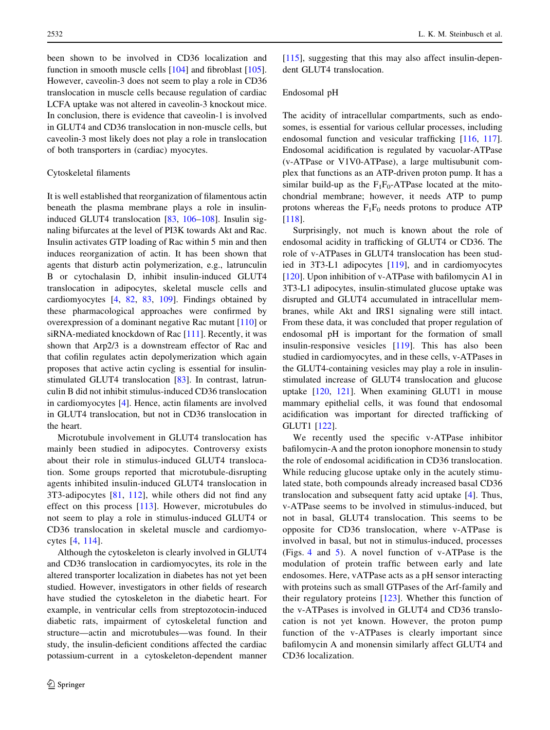been shown to be involved in CD36 localization and function in smooth muscle cells [[104\]](#page-12-0) and fibroblast [\[105](#page-12-0)]. However, caveolin-3 does not seem to play a role in CD36 translocation in muscle cells because regulation of cardiac LCFA uptake was not altered in caveolin-3 knockout mice. In conclusion, there is evidence that caveolin-1 is involved in GLUT4 and CD36 translocation in non-muscle cells, but caveolin-3 most likely does not play a role in translocation of both transporters in (cardiac) myocytes.

# Cytoskeletal filaments

It is well established that reorganization of filamentous actin beneath the plasma membrane plays a role in insulininduced GLUT4 translocation [\[83](#page-12-0), [106–108\]](#page-12-0). Insulin signaling bifurcates at the level of PI3K towards Akt and Rac. Insulin activates GTP loading of Rac within 5 min and then induces reorganization of actin. It has been shown that agents that disturb actin polymerization, e.g., latrunculin B or cytochalasin D, inhibit insulin-induced GLUT4 translocation in adipocytes, skeletal muscle cells and cardiomyocytes [\[4](#page-9-0), [82](#page-12-0), [83](#page-12-0), [109](#page-12-0)]. Findings obtained by these pharmacological approaches were confirmed by overexpression of a dominant negative Rac mutant [\[110](#page-12-0)] or siRNA-mediated knockdown of Rac [\[111](#page-12-0)]. Recently, it was shown that Arp2/3 is a downstream effector of Rac and that cofilin regulates actin depolymerization which again proposes that active actin cycling is essential for insulinstimulated GLUT4 translocation [[83\]](#page-12-0). In contrast, latrunculin B did not inhibit stimulus-induced CD36 translocation in cardiomyocytes [[4\]](#page-9-0). Hence, actin filaments are involved in GLUT4 translocation, but not in CD36 translocation in the heart.

Microtubule involvement in GLUT4 translocation has mainly been studied in adipocytes. Controversy exists about their role in stimulus-induced GLUT4 translocation. Some groups reported that microtubule-disrupting agents inhibited insulin-induced GLUT4 translocation in 3T3-adipocytes [\[81](#page-12-0), [112](#page-12-0)], while others did not find any effect on this process [\[113](#page-13-0)]. However, microtubules do not seem to play a role in stimulus-induced GLUT4 or CD36 translocation in skeletal muscle and cardiomyocytes [[4](#page-9-0), [114](#page-13-0)].

Although the cytoskeleton is clearly involved in GLUT4 and CD36 translocation in cardiomyocytes, its role in the altered transporter localization in diabetes has not yet been studied. However, investigators in other fields of research have studied the cytoskeleton in the diabetic heart. For example, in ventricular cells from streptozotocin-induced diabetic rats, impairment of cytoskeletal function and structure—actin and microtubules—was found. In their study, the insulin-deficient conditions affected the cardiac potassium-current in a cytoskeleton-dependent manner [\[115](#page-13-0)], suggesting that this may also affect insulin-dependent GLUT4 translocation.

## Endosomal pH

The acidity of intracellular compartments, such as endosomes, is essential for various cellular processes, including endosomal function and vesicular trafficking [\[116](#page-13-0), [117](#page-13-0)]. Endosomal acidification is regulated by vacuolar-ATPase (v-ATPase or V1V0-ATPase), a large multisubunit complex that functions as an ATP-driven proton pump. It has a similar build-up as the  $F_1F_0$ -ATPase located at the mitochondrial membrane; however, it needs ATP to pump protons whereas the  $F_1F_0$  needs protons to produce ATP [\[118](#page-13-0)].

Surprisingly, not much is known about the role of endosomal acidity in trafficking of GLUT4 or CD36. The role of v-ATPases in GLUT4 translocation has been studied in 3T3-L1 adipocytes [[119\]](#page-13-0), and in cardiomyocytes [\[120](#page-13-0)]. Upon inhibition of v-ATPase with bafilomycin A1 in 3T3-L1 adipocytes, insulin-stimulated glucose uptake was disrupted and GLUT4 accumulated in intracellular membranes, while Akt and IRS1 signaling were still intact. From these data, it was concluded that proper regulation of endosomal pH is important for the formation of small insulin-responsive vesicles [[119\]](#page-13-0). This has also been studied in cardiomyocytes, and in these cells, v-ATPases in the GLUT4-containing vesicles may play a role in insulinstimulated increase of GLUT4 translocation and glucose uptake [[120,](#page-13-0) [121\]](#page-13-0). When examining GLUT1 in mouse mammary epithelial cells, it was found that endosomal acidification was important for directed trafficking of GLUT1 [\[122](#page-13-0)].

We recently used the specific v-ATPase inhibitor bafilomycin-A and the proton ionophore monensin to study the role of endosomal acidification in CD36 translocation. While reducing glucose uptake only in the acutely stimulated state, both compounds already increased basal CD36 translocation and subsequent fatty acid uptake [[4\]](#page-9-0). Thus, v-ATPase seems to be involved in stimulus-induced, but not in basal, GLUT4 translocation. This seems to be opposite for CD36 translocation, where v-ATPase is involved in basal, but not in stimulus-induced, processes (Figs. [4](#page-6-0) and [5\)](#page-8-0). A novel function of v-ATPase is the modulation of protein traffic between early and late endosomes. Here, vATPase acts as a pH sensor interacting with proteins such as small GTPases of the Arf-family and their regulatory proteins [\[123](#page-13-0)]. Whether this function of the v-ATPases is involved in GLUT4 and CD36 translocation is not yet known. However, the proton pump function of the v-ATPases is clearly important since bafilomycin A and monensin similarly affect GLUT4 and CD36 localization.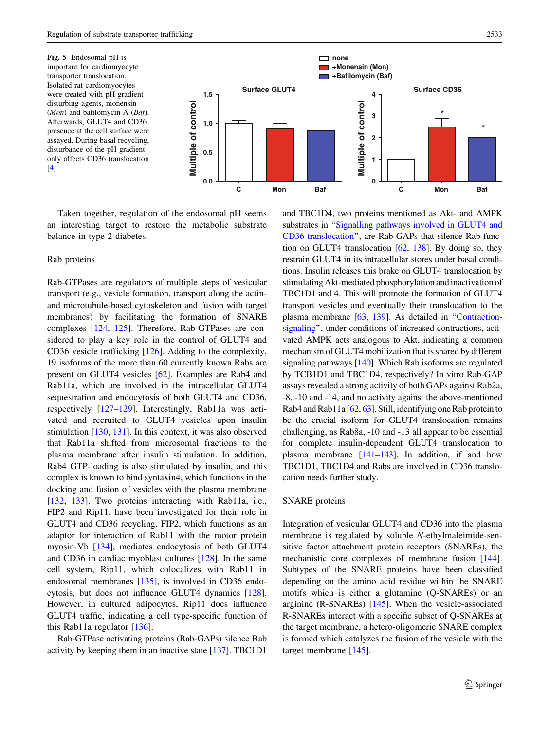<span id="page-8-0"></span>Fig. 5 Endosomal pH is important for cardiomyocyte transporter translocation. Isolated rat cardiomyocytes were treated with pH gradient disturbing agents, monensin  $(Mon)$  and bafilomycin A (*Baf*). Afterwards, GLUT4 and CD36 presence at the cell surface were assayed. During basal recycling, disturbance of the pH gradient only affects CD36 translocation  $[4]$  $[4]$  $[4]$ 



Taken together, regulation of the endosomal pH seems an interesting target to restore the metabolic substrate balance in type 2 diabetes.

## Rab proteins

Rab-GTPases are regulators of multiple steps of vesicular transport (e.g., vesicle formation, transport along the actinand microtubule-based cytoskeleton and fusion with target membranes) by facilitating the formation of SNARE complexes [[124,](#page-13-0) [125\]](#page-13-0). Therefore, Rab-GTPases are considered to play a key role in the control of GLUT4 and CD36 vesicle trafficking [[126\]](#page-13-0). Adding to the complexity, 19 isoforms of the more than 60 currently known Rabs are present on GLUT4 vesicles [\[62](#page-11-0)]. Examples are Rab4 and Rab11a, which are involved in the intracellular GLUT4 sequestration and endocytosis of both GLUT4 and CD36, respectively [[127–129](#page-13-0)]. Interestingly, Rab11a was activated and recruited to GLUT4 vesicles upon insulin stimulation [\[130](#page-13-0), [131](#page-13-0)]. In this context, it was also observed that Rab11a shifted from microsomal fractions to the plasma membrane after insulin stimulation. In addition, Rab4 GTP-loading is also stimulated by insulin, and this complex is known to bind syntaxin4, which functions in the docking and fusion of vesicles with the plasma membrane [\[132](#page-13-0), [133](#page-13-0)]. Two proteins interacting with Rab11a, i.e., FIP2 and Rip11, have been investigated for their role in GLUT4 and CD36 recycling. FIP2, which functions as an adaptor for interaction of Rab11 with the motor protein myosin-Vb [\[134\]](#page-13-0), mediates endocytosis of both GLUT4 and CD36 in cardiac myoblast cultures [\[128](#page-13-0)]. In the same cell system, Rip11, which colocalizes with Rab11 in endosomal membranes [[135\]](#page-13-0), is involved in CD36 endocytosis, but does not influence GLUT4 dynamics [\[128](#page-13-0)]. However, in cultured adipocytes, Rip11 does influence GLUT4 traffic, indicating a cell type-specific function of this Rab11a regulator [[136](#page-13-0)].

Rab-GTPase activating proteins (Rab-GAPs) silence Rab activity by keeping them in an inactive state [\[137\]](#page-13-0). TBC1D1

and TBC1D4, two proteins mentioned as Akt- and AMPK substrates in "[Signalling pathways involved in GLUT4 and](#page-3-0) [CD36 translocation](#page-3-0)'', are Rab-GAPs that silence Rab-function on GLUT4 translocation [\[62,](#page-11-0) [138\]](#page-13-0). By doing so, they restrain GLUT4 in its intracellular stores under basal conditions. Insulin releases this brake on GLUT4 translocation by stimulating Akt-mediated phosphorylation and inactivation of TBC1D1 and 4. This will promote the formation of GLUT4 transport vesicles and eventually their translocation to the plasma membrane [\[63,](#page-11-0) [139\]](#page-13-0). As detailed in ''[Contraction](#page-4-0)[signaling'](#page-4-0)', under conditions of increased contractions, activated AMPK acts analogous to Akt, indicating a common mechanism of GLUT4 mobilization that is shared by different signaling pathways [\[140\]](#page-13-0). Which Rab isoforms are regulated by TCB1D1 and TBC1D4, respectively? In vitro Rab-GAP assays revealed a strong activity of both GAPs against Rab2a, -8, -10 and -14, and no activity against the above-mentioned Rab4 and Rab11a [[62,](#page-11-0) [63](#page-11-0)]. Still, identifying one Rab protein to be the crucial isoform for GLUT4 translocation remains challenging, as Rab8a, -10 and -13 all appear to be essential for complete insulin-dependent GLUT4 translocation to plasma membrane [[141–143](#page-13-0)]. In addition, if and how TBC1D1, TBC1D4 and Rabs are involved in CD36 translocation needs further study.

### SNARE proteins

Integration of vesicular GLUT4 and CD36 into the plasma membrane is regulated by soluble N-ethylmaleimide-sensitive factor attachment protein receptors (SNAREs), the mechanistic core complexes of membrane fusion [\[144](#page-13-0)]. Subtypes of the SNARE proteins have been classified depending on the amino acid residue within the SNARE motifs which is either a glutamine (Q-SNAREs) or an arginine (R-SNAREs) [\[145](#page-13-0)]. When the vesicle-associated R-SNAREs interact with a specific subset of Q-SNAREs at the target membrane, a hetero-oligomeric SNARE complex is formed which catalyzes the fusion of the vesicle with the target membrane [\[145](#page-13-0)].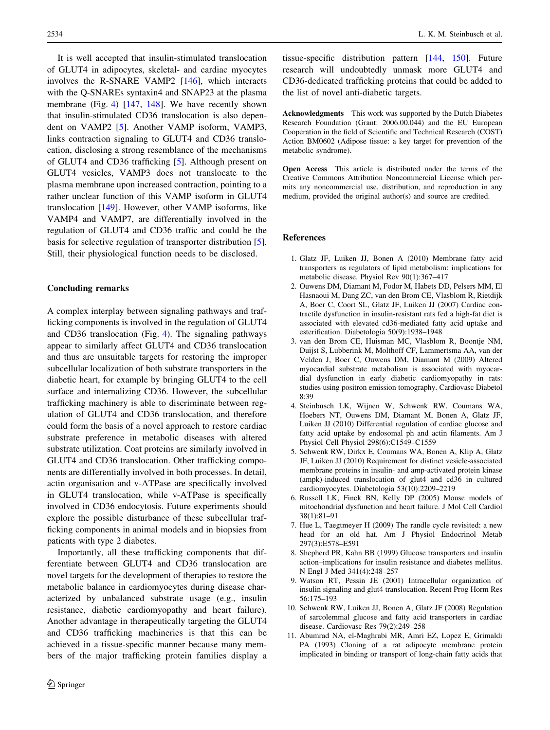<span id="page-9-0"></span>It is well accepted that insulin-stimulated translocation of GLUT4 in adipocytes, skeletal- and cardiac myocytes involves the R-SNARE VAMP2 [[146\]](#page-13-0), which interacts with the Q-SNAREs syntaxin4 and SNAP23 at the plasma membrane (Fig. [4](#page-6-0)) [[147,](#page-13-0) [148\]](#page-13-0). We have recently shown that insulin-stimulated CD36 translocation is also dependent on VAMP2 [5]. Another VAMP isoform, VAMP3, links contraction signaling to GLUT4 and CD36 translocation, disclosing a strong resemblance of the mechanisms of GLUT4 and CD36 trafficking [5]. Although present on GLUT4 vesicles, VAMP3 does not translocate to the plasma membrane upon increased contraction, pointing to a rather unclear function of this VAMP isoform in GLUT4 translocation [[149\]](#page-13-0). However, other VAMP isoforms, like VAMP4 and VAMP7, are differentially involved in the regulation of GLUT4 and CD36 traffic and could be the basis for selective regulation of transporter distribution [5]. Still, their physiological function needs to be disclosed.

# Concluding remarks

A complex interplay between signaling pathways and trafficking components is involved in the regulation of GLUT4 and CD36 translocation (Fig. [4\)](#page-6-0). The signaling pathways appear to similarly affect GLUT4 and CD36 translocation and thus are unsuitable targets for restoring the improper subcellular localization of both substrate transporters in the diabetic heart, for example by bringing GLUT4 to the cell surface and internalizing CD36. However, the subcellular trafficking machinery is able to discriminate between regulation of GLUT4 and CD36 translocation, and therefore could form the basis of a novel approach to restore cardiac substrate preference in metabolic diseases with altered substrate utilization. Coat proteins are similarly involved in GLUT4 and CD36 translocation. Other trafficking components are differentially involved in both processes. In detail, actin organisation and v-ATPase are specifically involved in GLUT4 translocation, while v-ATPase is specifically involved in CD36 endocytosis. Future experiments should explore the possible disturbance of these subcellular trafficking components in animal models and in biopsies from patients with type 2 diabetes.

Importantly, all these trafficking components that differentiate between GLUT4 and CD36 translocation are novel targets for the development of therapies to restore the metabolic balance in cardiomyocytes during disease characterized by unbalanced substrate usage (e.g., insulin resistance, diabetic cardiomyopathy and heart failure). Another advantage in therapeutically targeting the GLUT4 and CD36 trafficking machineries is that this can be achieved in a tissue-specific manner because many members of the major trafficking protein families display a

tissue-specific distribution pattern [\[144,](#page-13-0) [150](#page-13-0)]. Future research will undoubtedly unmask more GLUT4 and CD36-dedicated trafficking proteins that could be added to the list of novel anti-diabetic targets.

Acknowledgments This work was supported by the Dutch Diabetes Research Foundation (Grant: 2006.00.044) and the EU European Cooperation in the field of Scientific and Technical Research (COST) Action BM0602 (Adipose tissue: a key target for prevention of the metabolic syndrome).

Open Access This article is distributed under the terms of the Creative Commons Attribution Noncommercial License which permits any noncommercial use, distribution, and reproduction in any medium, provided the original author(s) and source are credited.

#### References

- 1. Glatz JF, Luiken JJ, Bonen A (2010) Membrane fatty acid transporters as regulators of lipid metabolism: implications for metabolic disease. Physiol Rev 90(1):367–417
- 2. Ouwens DM, Diamant M, Fodor M, Habets DD, Pelsers MM, El Hasnaoui M, Dang ZC, van den Brom CE, Vlasblom R, Rietdijk A, Boer C, Coort SL, Glatz JF, Luiken JJ (2007) Cardiac contractile dysfunction in insulin-resistant rats fed a high-fat diet is associated with elevated cd36-mediated fatty acid uptake and esterification. Diabetologia 50(9):1938–1948
- 3. van den Brom CE, Huisman MC, Vlasblom R, Boontje NM, Duijst S, Lubberink M, Molthoff CF, Lammertsma AA, van der Velden J, Boer C, Ouwens DM, Diamant M (2009) Altered myocardial substrate metabolism is associated with myocardial dysfunction in early diabetic cardiomyopathy in rats: studies using positron emission tomography. Cardiovasc Diabetol 8:39
- 4. Steinbusch LK, Wijnen W, Schwenk RW, Coumans WA, Hoebers NT, Ouwens DM, Diamant M, Bonen A, Glatz JF, Luiken JJ (2010) Differential regulation of cardiac glucose and fatty acid uptake by endosomal ph and actin filaments. Am J Physiol Cell Physiol 298(6):C1549–C1559
- 5. Schwenk RW, Dirkx E, Coumans WA, Bonen A, Klip A, Glatz JF, Luiken JJ (2010) Requirement for distinct vesicle-associated membrane proteins in insulin- and amp-activated protein kinase (ampk)-induced translocation of glut4 and cd36 in cultured cardiomyocytes. Diabetologia 53(10):2209–2219
- 6. Russell LK, Finck BN, Kelly DP (2005) Mouse models of mitochondrial dysfunction and heart failure. J Mol Cell Cardiol 38(1):81–91
- 7. Hue L, Taegtmeyer H (2009) The randle cycle revisited: a new head for an old hat. Am J Physiol Endocrinol Metab 297(3):E578–E591
- 8. Shepherd PR, Kahn BB (1999) Glucose transporters and insulin action–implications for insulin resistance and diabetes mellitus. N Engl J Med 341(4):248–257
- 9. Watson RT, Pessin JE (2001) Intracellular organization of insulin signaling and glut4 translocation. Recent Prog Horm Res 56:175–193
- 10. Schwenk RW, Luiken JJ, Bonen A, Glatz JF (2008) Regulation of sarcolemmal glucose and fatty acid transporters in cardiac disease. Cardiovasc Res 79(2):249–258
- 11. Abumrad NA, el-Maghrabi MR, Amri EZ, Lopez E, Grimaldi PA (1993) Cloning of a rat adipocyte membrane protein implicated in binding or transport of long-chain fatty acids that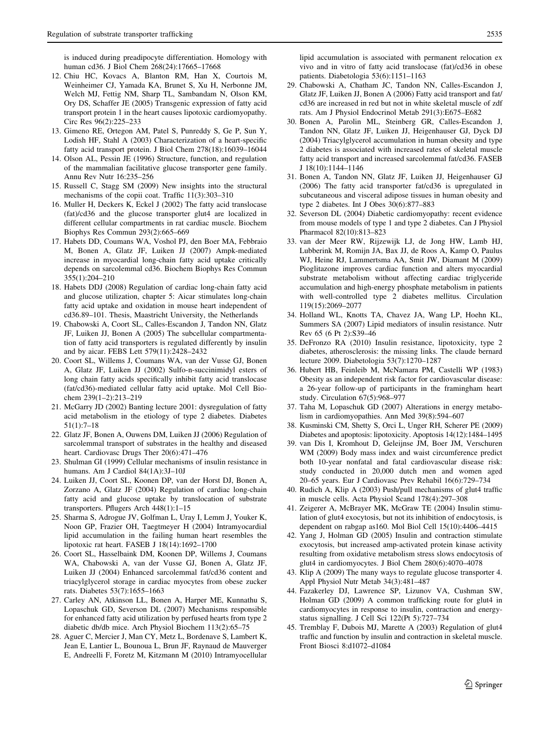<span id="page-10-0"></span>is induced during preadipocyte differentiation. Homology with human cd36. J Biol Chem 268(24):17665–17668

- 12. Chiu HC, Kovacs A, Blanton RM, Han X, Courtois M, Weinheimer CJ, Yamada KA, Brunet S, Xu H, Nerbonne JM, Welch MJ, Fettig NM, Sharp TL, Sambandam N, Olson KM, Ory DS, Schaffer JE (2005) Transgenic expression of fatty acid transport protein 1 in the heart causes lipotoxic cardiomyopathy. Circ Res 96(2):225–233
- 13. Gimeno RE, Ortegon AM, Patel S, Punreddy S, Ge P, Sun Y, Lodish HF, Stahl A (2003) Characterization of a heart-specific fatty acid transport protein. J Biol Chem 278(18):16039–16044
- 14. Olson AL, Pessin JE (1996) Structure, function, and regulation of the mammalian facilitative glucose transporter gene family. Annu Rev Nutr 16:235–256
- 15. Russell C, Stagg SM (2009) New insights into the structural mechanisms of the copii coat. Traffic 11(3):303–310
- 16. Muller H, Deckers K, Eckel J (2002) The fatty acid translocase (fat)/cd36 and the glucose transporter glut4 are localized in different cellular compartments in rat cardiac muscle. Biochem Biophys Res Commun 293(2):665–669
- 17. Habets DD, Coumans WA, Voshol PJ, den Boer MA, Febbraio M, Bonen A, Glatz JF, Luiken JJ (2007) Ampk-mediated increase in myocardial long-chain fatty acid uptake critically depends on sarcolemmal cd36. Biochem Biophys Res Commun 355(1):204–210
- 18. Habets DDJ (2008) Regulation of cardiac long-chain fatty acid and glucose utilization, chapter 5: Aicar stimulates long-chain fatty acid uptake and oxidation in mouse heart independent of cd36.89–101. Thesis, Maastricht University, the Netherlands
- 19. Chabowski A, Coort SL, Calles-Escandon J, Tandon NN, Glatz JF, Luiken JJ, Bonen A (2005) The subcellular compartmentation of fatty acid transporters is regulated differently by insulin and by aicar. FEBS Lett 579(11):2428–2432
- 20. Coort SL, Willems J, Coumans WA, van der Vusse GJ, Bonen A, Glatz JF, Luiken JJ (2002) Sulfo-n-succinimidyl esters of long chain fatty acids specifically inhibit fatty acid translocase (fat/cd36)-mediated cellular fatty acid uptake. Mol Cell Biochem 239(1–2):213–219
- 21. McGarry JD (2002) Banting lecture 2001: dysregulation of fatty acid metabolism in the etiology of type 2 diabetes. Diabetes 51(1):7–18
- 22. Glatz JF, Bonen A, Ouwens DM, Luiken JJ (2006) Regulation of sarcolemmal transport of substrates in the healthy and diseased heart. Cardiovasc Drugs Ther 20(6):471–476
- 23. Shulman GI (1999) Cellular mechanisms of insulin resistance in humans. Am J Cardiol 84(1A):3J–10J
- 24. Luiken JJ, Coort SL, Koonen DP, van der Horst DJ, Bonen A, Zorzano A, Glatz JF (2004) Regulation of cardiac long-chain fatty acid and glucose uptake by translocation of substrate transporters. Pflugers Arch 448(1):1–15
- 25. Sharma S, Adrogue JV, Golfman L, Uray I, Lemm J, Youker K, Noon GP, Frazier OH, Taegtmeyer H (2004) Intramyocardial lipid accumulation in the failing human heart resembles the lipotoxic rat heart. FASEB J 18(14):1692–1700
- 26. Coort SL, Hasselbaink DM, Koonen DP, Willems J, Coumans WA, Chabowski A, van der Vusse GJ, Bonen A, Glatz JF, Luiken JJ (2004) Enhanced sarcolemmal fat/cd36 content and triacylglycerol storage in cardiac myocytes from obese zucker rats. Diabetes 53(7):1655–1663
- 27. Carley AN, Atkinson LL, Bonen A, Harper ME, Kunnathu S, Lopaschuk GD, Severson DL (2007) Mechanisms responsible for enhanced fatty acid utilization by perfused hearts from type 2 diabetic db/db mice. Arch Physiol Biochem 113(2):65–75
- 28. Aguer C, Mercier J, Man CY, Metz L, Bordenave S, Lambert K, Jean E, Lantier L, Bounoua L, Brun JF, Raynaud de Mauverger E, Andreelli F, Foretz M, Kitzmann M (2010) Intramyocellular

lipid accumulation is associated with permanent relocation ex vivo and in vitro of fatty acid translocase (fat)/cd36 in obese patients. Diabetologia 53(6):1151–1163

- 29. Chabowski A, Chatham JC, Tandon NN, Calles-Escandon J, Glatz JF, Luiken JJ, Bonen A (2006) Fatty acid transport and fat/ cd36 are increased in red but not in white skeletal muscle of zdf rats. Am J Physiol Endocrinol Metab 291(3):E675–E682
- 30. Bonen A, Parolin ML, Steinberg GR, Calles-Escandon J, Tandon NN, Glatz JF, Luiken JJ, Heigenhauser GJ, Dyck DJ (2004) Triacylglycerol accumulation in human obesity and type 2 diabetes is associated with increased rates of skeletal muscle fatty acid transport and increased sarcolemmal fat/cd36. FASEB J 18(10):1144–1146
- 31. Bonen A, Tandon NN, Glatz JF, Luiken JJ, Heigenhauser GJ (2006) The fatty acid transporter fat/cd36 is upregulated in subcutaneous and visceral adipose tissues in human obesity and type 2 diabetes. Int J Obes 30(6):877–883
- 32. Severson DL (2004) Diabetic cardiomyopathy: recent evidence from mouse models of type 1 and type 2 diabetes. Can J Physiol Pharmacol 82(10):813–823
- 33. van der Meer RW, Rijzewijk LJ, de Jong HW, Lamb HJ, Lubberink M, Romijn JA, Bax JJ, de Roos A, Kamp O, Paulus WJ, Heine RJ, Lammertsma AA, Smit JW, Diamant M (2009) Pioglitazone improves cardiac function and alters myocardial substrate metabolism without affecting cardiac triglyceride accumulation and high-energy phosphate metabolism in patients with well-controlled type 2 diabetes mellitus. Circulation 119(15):2069–2077
- 34. Holland WL, Knotts TA, Chavez JA, Wang LP, Hoehn KL, Summers SA (2007) Lipid mediators of insulin resistance. Nutr Rev 65 (6 Pt 2):S39–46
- 35. DeFronzo RA (2010) Insulin resistance, lipotoxicity, type 2 diabetes, atherosclerosis: the missing links. The claude bernard lecture 2009. Diabetologia 53(7):1270–1287
- 36. Hubert HB, Feinleib M, McNamara PM, Castelli WP (1983) Obesity as an independent risk factor for cardiovascular disease: a 26-year follow-up of participants in the framingham heart study. Circulation 67(5):968–977
- 37. Taha M, Lopaschuk GD (2007) Alterations in energy metabolism in cardiomyopathies. Ann Med 39(8):594–607
- 38. Kusminski CM, Shetty S, Orci L, Unger RH, Scherer PE (2009) Diabetes and apoptosis: lipotoxicity. Apoptosis 14(12):1484–1495
- 39. van Dis I, Kromhout D, Geleijnse JM, Boer JM, Verschuren WM (2009) Body mass index and waist circumference predict both 10-year nonfatal and fatal cardiovascular disease risk: study conducted in 20,000 dutch men and women aged 20–65 years. Eur J Cardiovasc Prev Rehabil 16(6):729–734
- 40. Rudich A, Klip A (2003) Push/pull mechanisms of glut4 traffic in muscle cells. Acta Physiol Scand 178(4):297–308
- 41. Zeigerer A, McBrayer MK, McGraw TE (2004) Insulin stimulation of glut4 exocytosis, but not its inhibition of endocytosis, is dependent on rabgap as160. Mol Biol Cell 15(10):4406–4415
- 42. Yang J, Holman GD (2005) Insulin and contraction stimulate exocytosis, but increased amp-activated protein kinase activity resulting from oxidative metabolism stress slows endocytosis of glut4 in cardiomyocytes. J Biol Chem 280(6):4070–4078
- 43. Klip A (2009) The many ways to regulate glucose transporter 4. Appl Physiol Nutr Metab 34(3):481–487
- 44. Fazakerley DJ, Lawrence SP, Lizunov VA, Cushman SW, Holman GD (2009) A common trafficking route for glut4 in cardiomyocytes in response to insulin, contraction and energystatus signalling. J Cell Sci 122(Pt 5):727–734
- 45. Tremblay F, Dubois MJ, Marette A (2003) Regulation of glut4 traffic and function by insulin and contraction in skeletal muscle. Front Biosci 8:d1072–d1084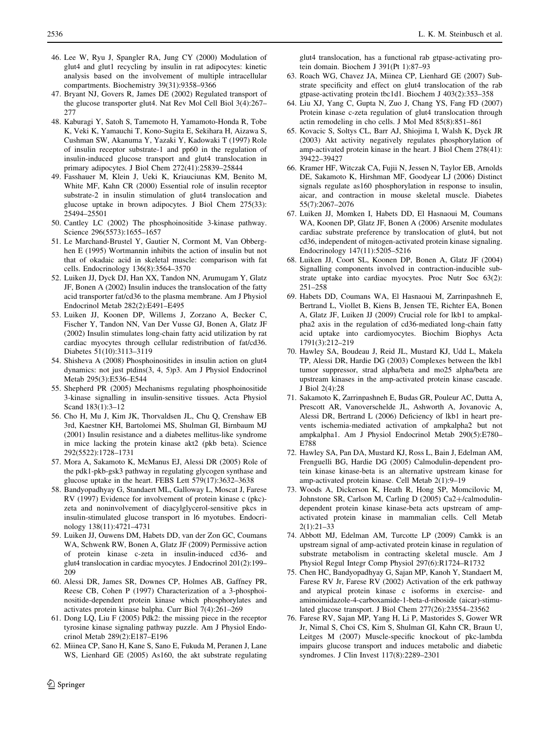- <span id="page-11-0"></span>46. Lee W, Ryu J, Spangler RA, Jung CY (2000) Modulation of glut4 and glut1 recycling by insulin in rat adipocytes: kinetic analysis based on the involvement of multiple intracellular compartments. Biochemistry 39(31):9358–9366
- 47. Bryant NJ, Govers R, James DE (2002) Regulated transport of the glucose transporter glut4. Nat Rev Mol Cell Biol 3(4):267– 277
- 48. Kaburagi Y, Satoh S, Tamemoto H, Yamamoto-Honda R, Tobe K, Veki K, Yamauchi T, Kono-Sugita E, Sekihara H, Aizawa S, Cushman SW, Akanuma Y, Yazaki Y, Kadowaki T (1997) Role of insulin receptor substrate-1 and pp60 in the regulation of insulin-induced glucose transport and glut4 translocation in primary adipocytes. J Biol Chem 272(41):25839–25844
- 49. Fasshauer M, Klein J, Ueki K, Kriauciunas KM, Benito M, White MF, Kahn CR (2000) Essential role of insulin receptor substrate-2 in insulin stimulation of glut4 translocation and glucose uptake in brown adipocytes. J Biol Chem 275(33): 25494–25501
- 50. Cantley LC (2002) The phosphoinositide 3-kinase pathway. Science 296(5573):1655–1657
- 51. Le Marchand-Brustel Y, Gautier N, Cormont M, Van Obberghen E (1995) Wortmannin inhibits the action of insulin but not that of okadaic acid in skeletal muscle: comparison with fat cells. Endocrinology 136(8):3564–3570
- 52. Luiken JJ, Dyck DJ, Han XX, Tandon NN, Arumugam Y, Glatz JF, Bonen A (2002) Insulin induces the translocation of the fatty acid transporter fat/cd36 to the plasma membrane. Am J Physiol Endocrinol Metab 282(2):E491–E495
- 53. Luiken JJ, Koonen DP, Willems J, Zorzano A, Becker C, Fischer Y, Tandon NN, Van Der Vusse GJ, Bonen A, Glatz JF (2002) Insulin stimulates long-chain fatty acid utilization by rat cardiac myocytes through cellular redistribution of fat/cd36. Diabetes 51(10):3113–3119
- 54. Shisheva A (2008) Phosphoinositides in insulin action on glut4 dynamics: not just ptdins(3, 4, 5)p3. Am J Physiol Endocrinol Metab 295(3):E536–E544
- 55. Shepherd PR (2005) Mechanisms regulating phosphoinositide 3-kinase signalling in insulin-sensitive tissues. Acta Physiol Scand 183(1):3–12
- 56. Cho H, Mu J, Kim JK, Thorvaldsen JL, Chu Q, Crenshaw EB 3rd, Kaestner KH, Bartolomei MS, Shulman GI, Birnbaum MJ (2001) Insulin resistance and a diabetes mellitus-like syndrome in mice lacking the protein kinase akt2 (pkb beta). Science 292(5522):1728–1731
- 57. Mora A, Sakamoto K, McManus EJ, Alessi DR (2005) Role of the pdk1-pkb-gsk3 pathway in regulating glycogen synthase and glucose uptake in the heart. FEBS Lett 579(17):3632–3638
- 58. Bandyopadhyay G, Standaert ML, Galloway L, Moscat J, Farese RV (1997) Evidence for involvement of protein kinase c (pkc) zeta and noninvolvement of diacylglycerol-sensitive pkcs in insulin-stimulated glucose transport in l6 myotubes. Endocrinology 138(11):4721–4731
- 59. Luiken JJ, Ouwens DM, Habets DD, van der Zon GC, Coumans WA, Schwenk RW, Bonen A, Glatz JF (2009) Permissive action of protein kinase c-zeta in insulin-induced cd36- and glut4 translocation in cardiac myocytes. J Endocrinol 201(2):199– 209
- 60. Alessi DR, James SR, Downes CP, Holmes AB, Gaffney PR, Reese CB, Cohen P (1997) Characterization of a 3-phosphoinositide-dependent protein kinase which phosphorylates and activates protein kinase balpha. Curr Biol 7(4):261–269
- 61. Dong LQ, Liu F (2005) Pdk2: the missing piece in the receptor tyrosine kinase signaling pathway puzzle. Am J Physiol Endocrinol Metab 289(2):E187–E196
- 62. Miinea CP, Sano H, Kane S, Sano E, Fukuda M, Peranen J, Lane WS, Lienhard GE (2005) As160, the akt substrate regulating

 $\textcircled{2}$  Springer

glut4 translocation, has a functional rab gtpase-activating protein domain. Biochem J 391(Pt 1):87–93

- 63. Roach WG, Chavez JA, Miinea CP, Lienhard GE (2007) Substrate specificity and effect on glut4 translocation of the rab gtpase-activating protein tbc1d1. Biochem J 403(2):353–358
- 64. Liu XJ, Yang C, Gupta N, Zuo J, Chang YS, Fang FD (2007) Protein kinase c-zeta regulation of glut4 translocation through actin remodeling in cho cells. J Mol Med 85(8):851–861
- 65. Kovacic S, Soltys CL, Barr AJ, Shiojima I, Walsh K, Dyck JR (2003) Akt activity negatively regulates phosphorylation of amp-activated protein kinase in the heart. J Biol Chem 278(41): 39422–39427
- 66. Kramer HF, Witczak CA, Fujii N, Jessen N, Taylor EB, Arnolds DE, Sakamoto K, Hirshman MF, Goodyear LJ (2006) Distinct signals regulate as160 phosphorylation in response to insulin, aicar, and contraction in mouse skeletal muscle. Diabetes 55(7):2067–2076
- 67. Luiken JJ, Momken I, Habets DD, El Hasnaoui M, Coumans WA, Koonen DP, Glatz JF, Bonen A (2006) Arsenite modulates cardiac substrate preference by translocation of glut4, but not cd36, independent of mitogen-activated protein kinase signaling. Endocrinology 147(11):5205–5216
- 68. Luiken JJ, Coort SL, Koonen DP, Bonen A, Glatz JF (2004) Signalling components involved in contraction-inducible substrate uptake into cardiac myocytes. Proc Nutr Soc 63(2): 251–258
- 69. Habets DD, Coumans WA, El Hasnaoui M, Zarrinpashneh E, Bertrand L, Viollet B, Kiens B, Jensen TE, Richter EA, Bonen A, Glatz JF, Luiken JJ (2009) Crucial role for lkb1 to ampkalpha2 axis in the regulation of cd36-mediated long-chain fatty acid uptake into cardiomyocytes. Biochim Biophys Acta 1791(3):212–219
- 70. Hawley SA, Boudeau J, Reid JL, Mustard KJ, Udd L, Makela TP, Alessi DR, Hardie DG (2003) Complexes between the lkb1 tumor suppressor, strad alpha/beta and mo25 alpha/beta are upstream kinases in the amp-activated protein kinase cascade. J Biol 2(4):28
- 71. Sakamoto K, Zarrinpashneh E, Budas GR, Pouleur AC, Dutta A, Prescott AR, Vanoverschelde JL, Ashworth A, Jovanovic A, Alessi DR, Bertrand L (2006) Deficiency of lkb1 in heart prevents ischemia-mediated activation of ampkalpha2 but not ampkalpha1. Am J Physiol Endocrinol Metab 290(5):E780– E788
- 72. Hawley SA, Pan DA, Mustard KJ, Ross L, Bain J, Edelman AM, Frenguelli BG, Hardie DG (2005) Calmodulin-dependent protein kinase kinase-beta is an alternative upstream kinase for amp-activated protein kinase. Cell Metab 2(1):9–19
- 73. Woods A, Dickerson K, Heath R, Hong SP, Momcilovic M, Johnstone SR, Carlson M, Carling D (2005) Ca2+/calmodulindependent protein kinase kinase-beta acts upstream of ampactivated protein kinase in mammalian cells. Cell Metab 2(1):21–33
- 74. Abbott MJ, Edelman AM, Turcotte LP (2009) Camkk is an upstream signal of amp-activated protein kinase in regulation of substrate metabolism in contracting skeletal muscle. Am J Physiol Regul Integr Comp Physiol 297(6):R1724–R1732
- 75. Chen HC, Bandyopadhyay G, Sajan MP, Kanoh Y, Standaert M, Farese RV Jr, Farese RV (2002) Activation of the erk pathway and atypical protein kinase c isoforms in exercise- and aminoimidazole-4-carboxamide-1-beta-d-riboside (aicar)-stimulated glucose transport. J Biol Chem 277(26):23554–23562
- 76. Farese RV, Sajan MP, Yang H, Li P, Mastorides S, Gower WR Jr, Nimal S, Choi CS, Kim S, Shulman GI, Kahn CR, Braun U, Leitges M (2007) Muscle-specific knockout of pkc-lambda impairs glucose transport and induces metabolic and diabetic syndromes. J Clin Invest 117(8):2289–2301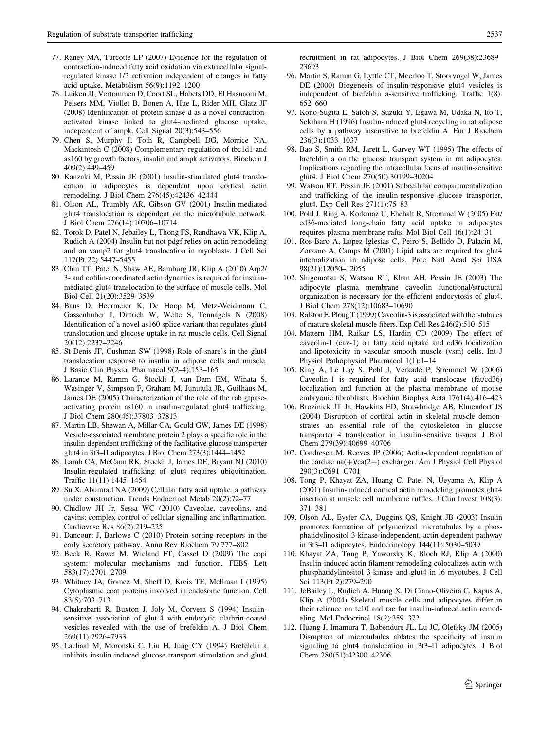- <span id="page-12-0"></span>77. Raney MA, Turcotte LP (2007) Evidence for the regulation of contraction-induced fatty acid oxidation via extracellular signalregulated kinase 1/2 activation independent of changes in fatty acid uptake. Metabolism 56(9):1192–1200
- 78. Luiken JJ, Vertommen D, Coort SL, Habets DD, El Hasnaoui M, Pelsers MM, Viollet B, Bonen A, Hue L, Rider MH, Glatz JF (2008) Identification of protein kinase d as a novel contractionactivated kinase linked to glut4-mediated glucose uptake, independent of ampk. Cell Signal 20(3):543–556
- 79. Chen S, Murphy J, Toth R, Campbell DG, Morrice NA, Mackintosh C (2008) Complementary regulation of tbc1d1 and as160 by growth factors, insulin and ampk activators. Biochem J 409(2):449–459
- 80. Kanzaki M, Pessin JE (2001) Insulin-stimulated glut4 translocation in adipocytes is dependent upon cortical actin remodeling. J Biol Chem 276(45):42436–42444
- 81. Olson AL, Trumbly AR, Gibson GV (2001) Insulin-mediated glut4 translocation is dependent on the microtubule network. J Biol Chem 276(14):10706–10714
- 82. Torok D, Patel N, Jebailey L, Thong FS, Randhawa VK, Klip A, Rudich A (2004) Insulin but not pdgf relies on actin remodeling and on vamp2 for glut4 translocation in myoblasts. J Cell Sci 117(Pt 22):5447–5455
- 83. Chiu TT, Patel N, Shaw AE, Bamburg JR, Klip A (2010) Arp2/ 3- and cofilin-coordinated actin dynamics is required for insulinmediated glut4 translocation to the surface of muscle cells. Mol Biol Cell 21(20):3529–3539
- 84. Baus D, Heermeier K, De Hoop M, Metz-Weidmann C, Gassenhuber J, Dittrich W, Welte S, Tennagels N (2008) Identification of a novel as160 splice variant that regulates glut4 translocation and glucose-uptake in rat muscle cells. Cell Signal 20(12):2237–2246
- 85. St-Denis JF, Cushman SW (1998) Role of snare's in the glut4 translocation response to insulin in adipose cells and muscle. J Basic Clin Physiol Pharmacol 9(2–4):153–165
- 86. Larance M, Ramm G, Stockli J, van Dam EM, Winata S, Wasinger V, Simpson F, Graham M, Junutula JR, Guilhaus M, James DE (2005) Characterization of the role of the rab gtpaseactivating protein as160 in insulin-regulated glut4 trafficking. J Biol Chem 280(45):37803–37813
- 87. Martin LB, Shewan A, Millar CA, Gould GW, James DE (1998) Vesicle-associated membrane protein 2 plays a specific role in the insulin-dependent trafficking of the facilitative glucose transporter glut4 in 3t3–l1 adipocytes. J Biol Chem 273(3):1444–1452
- 88. Lamb CA, McCann RK, Stockli J, James DE, Bryant NJ (2010) Insulin-regulated trafficking of glut4 requires ubiquitination. Traffic 11(11):1445–1454
- 89. Su X, Abumrad NA (2009) Cellular fatty acid uptake: a pathway under construction. Trends Endocrinol Metab 20(2):72–77
- 90. Chidlow JH Jr, Sessa WC (2010) Caveolae, caveolins, and cavins: complex control of cellular signalling and inflammation. Cardiovasc Res 86(2):219–225
- 91. Dancourt J, Barlowe C (2010) Protein sorting receptors in the early secretory pathway. Annu Rev Biochem 79:777–802
- 92. Beck R, Rawet M, Wieland FT, Cassel D (2009) The copi system: molecular mechanisms and function. FEBS Lett 583(17):2701–2709
- 93. Whitney JA, Gomez M, Sheff D, Kreis TE, Mellman I (1995) Cytoplasmic coat proteins involved in endosome function. Cell 83(5):703–713
- 94. Chakrabarti R, Buxton J, Joly M, Corvera S (1994) Insulinsensitive association of glut-4 with endocytic clathrin-coated vesicles revealed with the use of brefeldin A. J Biol Chem 269(11):7926–7933
- 95. Lachaal M, Moronski C, Liu H, Jung CY (1994) Brefeldin a inhibits insulin-induced glucose transport stimulation and glut4

recruitment in rat adipocytes. J Biol Chem 269(38):23689– 23693

- 96. Martin S, Ramm G, Lyttle CT, Meerloo T, Stoorvogel W, James DE (2000) Biogenesis of insulin-responsive glut4 vesicles is independent of brefeldin a-sensitive trafficking. Traffic 1(8): 652–660
- 97. Kono-Sugita E, Satoh S, Suzuki Y, Egawa M, Udaka N, Ito T, Sekihara H (1996) Insulin-induced glut4 recycling in rat adipose cells by a pathway insensitive to brefeldin A. Eur J Biochem 236(3):1033–1037
- 98. Bao S, Smith RM, Jarett L, Garvey WT (1995) The effects of brefeldin a on the glucose transport system in rat adipocytes. Implications regarding the intracellular locus of insulin-sensitive glut4. J Biol Chem 270(50):30199–30204
- 99. Watson RT, Pessin JE (2001) Subcellular compartmentalization and trafficking of the insulin-responsive glucose transporter, glut4. Exp Cell Res 271(1):75–83
- 100. Pohl J, Ring A, Korkmaz U, Ehehalt R, Stremmel W (2005) Fat/ cd36-mediated long-chain fatty acid uptake in adipocytes requires plasma membrane rafts. Mol Biol Cell 16(1):24–31
- 101. Ros-Baro A, Lopez-Iglesias C, Peiro S, Bellido D, Palacin M, Zorzano A, Camps M (2001) Lipid rafts are required for glut4 internalization in adipose cells. Proc Natl Acad Sci USA 98(21):12050–12055
- 102. Shigematsu S, Watson RT, Khan AH, Pessin JE (2003) The adipocyte plasma membrane caveolin functional/structural organization is necessary for the efficient endocytosis of glut4. J Biol Chem 278(12):10683–10690
- 103. Ralston E, Ploug T (1999) Caveolin-3 is associated with the t-tubules of mature skeletal muscle fibers. Exp Cell Res 246(2):510–515
- 104. Mattern HM, Raikar LS, Hardin CD (2009) The effect of caveolin-1 (cav-1) on fatty acid uptake and cd36 localization and lipotoxicity in vascular smooth muscle (vsm) cells. Int J Physiol Pathophysiol Pharmacol 1(1):1–14
- 105. Ring A, Le Lay S, Pohl J, Verkade P, Stremmel W (2006) Caveolin-1 is required for fatty acid translocase (fat/cd36) localization and function at the plasma membrane of mouse embryonic fibroblasts. Biochim Biophys Acta 1761(4):416–423
- 106. Brozinick JT Jr, Hawkins ED, Strawbridge AB, Elmendorf JS (2004) Disruption of cortical actin in skeletal muscle demonstrates an essential role of the cytoskeleton in glucose transporter 4 translocation in insulin-sensitive tissues. J Biol Chem 279(39):40699–40706
- 107. Condrescu M, Reeves JP (2006) Actin-dependent regulation of the cardiac  $na(+) / ca(2+)$  exchanger. Am J Physiol Cell Physiol 290(3):C691–C701
- 108. Tong P, Khayat ZA, Huang C, Patel N, Ueyama A, Klip A (2001) Insulin-induced cortical actin remodeling promotes glut4 insertion at muscle cell membrane ruffles. J Clin Invest 108(3): 371–381
- 109. Olson AL, Eyster CA, Duggins QS, Knight JB (2003) Insulin promotes formation of polymerized microtubules by a phosphatidylinositol 3-kinase-independent, actin-dependent pathway in 3t3–l1 adipocytes. Endocrinology 144(11):5030–5039
- 110. Khayat ZA, Tong P, Yaworsky K, Bloch RJ, Klip A (2000) Insulin-induced actin filament remodeling colocalizes actin with phosphatidylinositol 3-kinase and glut4 in l6 myotubes. J Cell Sci 113(Pt 2):279–290
- 111. JeBailey L, Rudich A, Huang X, Di Ciano-Oliveira C, Kapus A, Klip A (2004) Skeletal muscle cells and adipocytes differ in their reliance on tc10 and rac for insulin-induced actin remodeling. Mol Endocrinol 18(2):359–372
- 112. Huang J, Imamura T, Babendure JL, Lu JC, Olefsky JM (2005) Disruption of microtubules ablates the specificity of insulin signaling to glut4 translocation in 3t3–l1 adipocytes. J Biol Chem 280(51):42300–42306